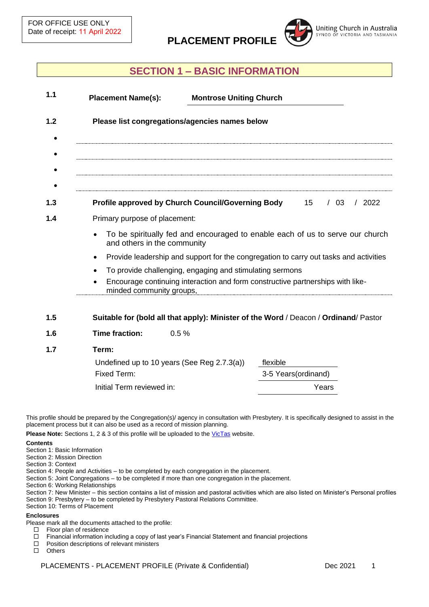**PLACEMENT PROFILE**



## **SECTION 1 – BASIC INFORMATION**

| <b>Placement Name(s):</b>                      |                               | <b>Montrose Uniting Church</b>                                                                                                             |  |        |       |
|------------------------------------------------|-------------------------------|--------------------------------------------------------------------------------------------------------------------------------------------|--|--------|-------|
| Please list congregations/agencies names below |                               |                                                                                                                                            |  |        |       |
|                                                |                               |                                                                                                                                            |  |        |       |
|                                                |                               | <b>Profile approved by Church Council/Governing Body</b> 15                                                                                |  | $/$ 03 | /2022 |
|                                                | Primary purpose of placement: |                                                                                                                                            |  |        |       |
|                                                | and others in the community   | To be spiritually fed and encouraged to enable each of us to serve our church                                                              |  |        |       |
|                                                |                               | Provide leadership and support for the congregation to carry out tasks and activities                                                      |  |        |       |
|                                                | minded community groups,      | To provide challenging, engaging and stimulating sermons<br>Encourage continuing interaction and form constructive partnerships with like- |  |        |       |
|                                                |                               | Suitable for (bold all that apply): Minister of the Word / Deacon / Ordinand/ Pastor                                                       |  |        |       |
| <b>Time fraction:</b>                          |                               | 0.5%                                                                                                                                       |  |        |       |
| Term:                                          |                               |                                                                                                                                            |  |        |       |

| Undefined up to 10 years (See Reg 2.7.3(a)) | flexible             |
|---------------------------------------------|----------------------|
| Fixed Term:                                 | 3-5 Years (ordinand) |
| Initial Term reviewed in:                   | Years                |
|                                             |                      |

This profile should be prepared by the Congregation(s)/ agency in consultation with Presbytery. It is specifically designed to assist in the placement process but it can also be used as a record of mission planning.

Please Note: Sections 1, 2 & 3 of this profile will be uploaded to th[e VicTas](https://victas.uca.org.au/ministry-mission/placements/#placement-vacancies) website.

#### **Contents**

- Section 1: Basic Information
- Section 2: Mission Direction
- Section 3: Context
- Section 4: People and Activities to be completed by each congregation in the placement.
- Section 5: Joint Congregations to be completed if more than one congregation in the placement.
- Section 6: Working Relationships
- Section 7: New Minister this section contains a list of mission and pastoral activities which are also listed on Minister's Personal profiles
- Section 9: Presbytery to be completed by Presbytery Pastoral Relations Committee.
- Section 10: Terms of Placement

#### **Enclosures**

- Please mark all the documents attached to the profile:
	- Floor plan of residence
	- Financial information including a copy of last year's Financial Statement and financial projections
	- $\Box$  Position descriptions of relevant ministers  $\Box$  Others
	- **Others**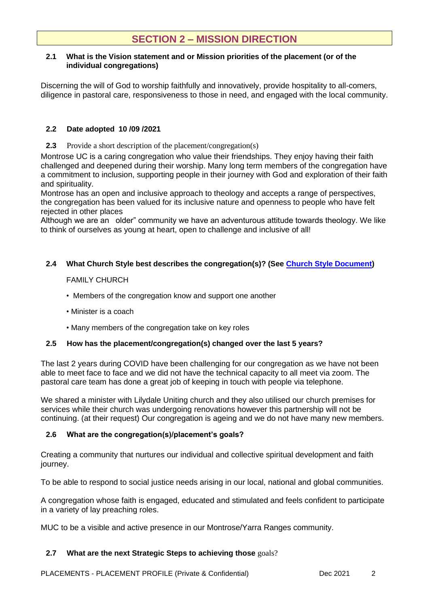# **SECTION 2 – MISSION DIRECTION**

#### **2.1 What is the Vision statement and or Mission priorities of the placement (or of the individual congregations)**

Discerning the will of God to worship faithfully and innovatively, provide hospitality to all-comers, diligence in pastoral care, responsiveness to those in need, and engaged with the local community.

### **2.2 Date adopted 10 /09 /2021**

**2.3** Provide a short description of the placement/congregation(s)

Montrose UC is a caring congregation who value their friendships. They enjoy having their faith challenged and deepened during their worship. Many long term members of the congregation have a commitment to inclusion, supporting people in their journey with God and exploration of their faith and spirituality.

Montrose has an open and inclusive approach to theology and accepts a range of perspectives, the congregation has been valued for its inclusive nature and openness to people who have felt rejected in other places

Although we are an older" community we have an adventurous attitude towards theology. We like to think of ourselves as young at heart, open to challenge and inclusive of all!

### **2.4 What Church Style best describes the congregation(s)? (See [Church Style Document\)](https://victas.uca.org.au/ministry-mission/placements/)**

### FAMILY CHURCH

- Members of the congregation know and support one another
- Minister is a coach
- Many members of the congregation take on key roles

### **2.5 How has the placement/congregation(s) changed over the last 5 years?**

The last 2 years during COVID have been challenging for our congregation as we have not been able to meet face to face and we did not have the technical capacity to all meet via zoom. The pastoral care team has done a great job of keeping in touch with people via telephone.

We shared a minister with Lilydale Uniting church and they also utilised our church premises for services while their church was undergoing renovations however this partnership will not be continuing. (at their request) Our congregation is ageing and we do not have many new members.

### **2.6 What are the congregation(s)/placement's goals?**

Creating a community that nurtures our individual and collective spiritual development and faith journey.

To be able to respond to social justice needs arising in our local, national and global communities.

A congregation whose faith is engaged, educated and stimulated and feels confident to participate in a variety of lay preaching roles.

MUC to be a visible and active presence in our Montrose/Yarra Ranges community.

### **2.7 What are the next Strategic Steps to achieving those** goals?

PLACEMENTS - PLACEMENT PROFILE (Private & Confidential) Dec 2021 2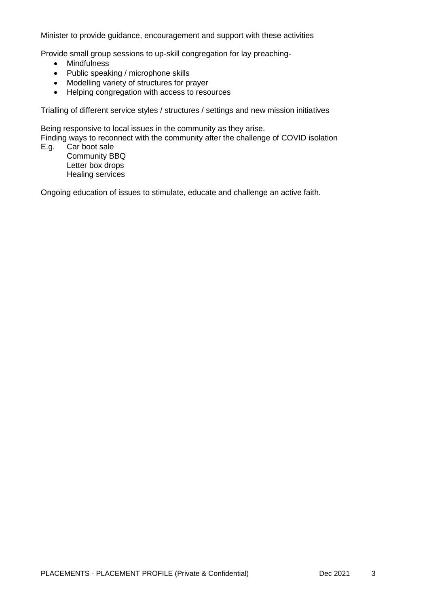Minister to provide guidance, encouragement and support with these activities

Provide small group sessions to up-skill congregation for lay preaching-

- Mindfulness
- Public speaking / microphone skills
- Modelling variety of structures for prayer
- Helping congregation with access to resources

Trialling of different service styles / structures / settings and new mission initiatives

Being responsive to local issues in the community as they arise.

Finding ways to reconnect with the community after the challenge of COVID isolation

E.g. Car boot sale Community BBQ Letter box drops Healing services

Ongoing education of issues to stimulate, educate and challenge an active faith.